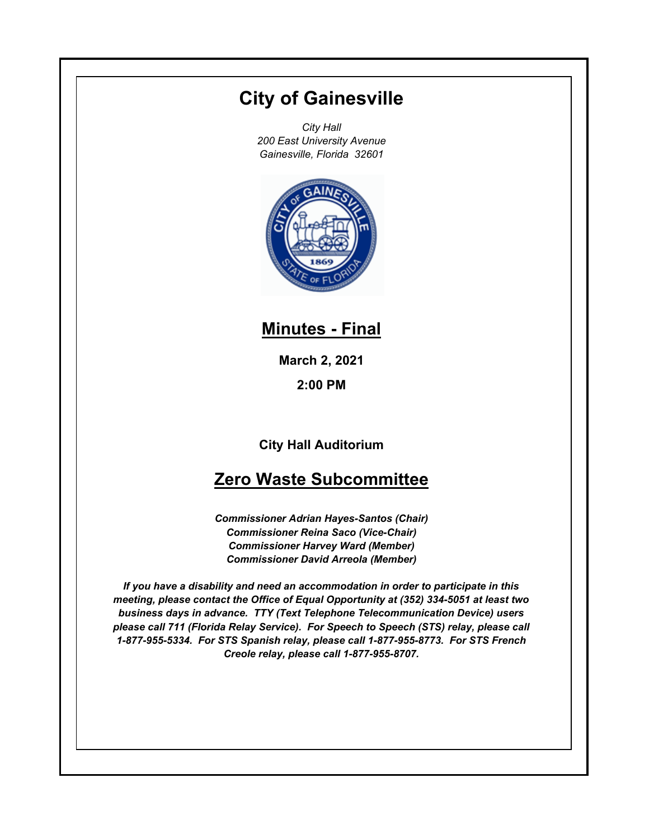# **City of Gainesville**

*City Hall 200 East University Avenue Gainesville, Florida 32601*



### **Minutes - Final**

**March 2, 2021**

**2:00 PM**

**City Hall Auditorium**

## **Zero Waste Subcommittee**

*Commissioner Adrian Hayes-Santos (Chair) Commissioner Reina Saco (Vice-Chair) Commissioner Harvey Ward (Member) Commissioner David Arreola (Member)*

*If you have a disability and need an accommodation in order to participate in this meeting, please contact the Office of Equal Opportunity at (352) 334-5051 at least two business days in advance. TTY (Text Telephone Telecommunication Device) users please call 711 (Florida Relay Service). For Speech to Speech (STS) relay, please call 1-877-955-5334. For STS Spanish relay, please call 1-877-955-8773. For STS French Creole relay, please call 1-877-955-8707.*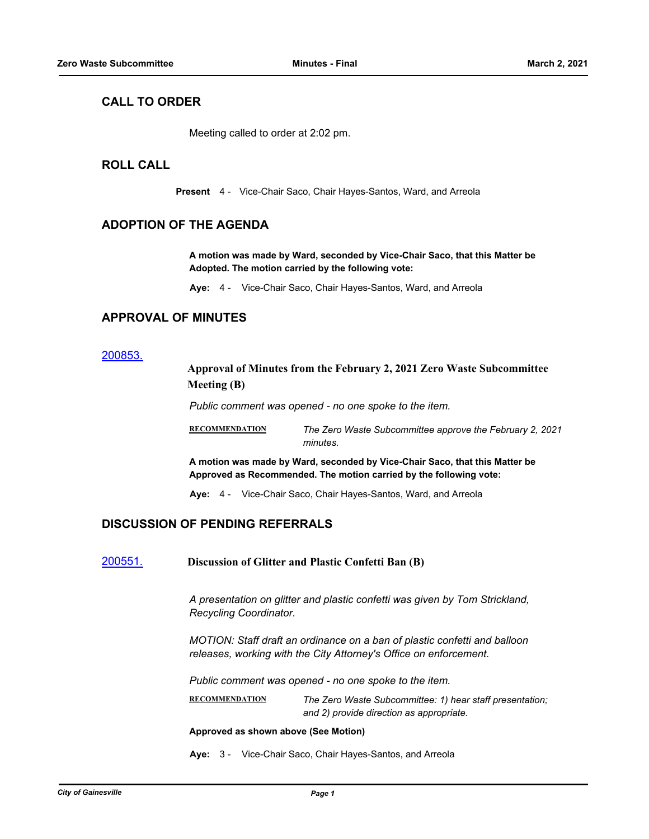### **CALL TO ORDER**

Meeting called to order at 2:02 pm.

#### **ROLL CALL**

**Present** 4 - Vice-Chair Saco, Chair Hayes-Santos, Ward, and Arreola

#### **ADOPTION OF THE AGENDA**

**A motion was made by Ward, seconded by Vice-Chair Saco, that this Matter be Adopted. The motion carried by the following vote:**

**Aye:** 4 - Vice-Chair Saco, Chair Hayes-Santos, Ward, and Arreola

### **APPROVAL OF MINUTES**

#### [200853.](http://gainesville.legistar.com/gateway.aspx?m=l&id=/matter.aspx?key=32396)

#### **Approval of Minutes from the February 2, 2021 Zero Waste Subcommittee Meeting (B)**

*Public comment was opened - no one spoke to the item.*

**RECOMMENDATION** *The Zero Waste Subcommittee approve the February 2, 2021 minutes.*

**A motion was made by Ward, seconded by Vice-Chair Saco, that this Matter be Approved as Recommended. The motion carried by the following vote:**

**Aye:** 4 - Vice-Chair Saco, Chair Hayes-Santos, Ward, and Arreola

### **DISCUSSION OF PENDING REFERRALS**

[200551.](http://gainesville.legistar.com/gateway.aspx?m=l&id=/matter.aspx?key=32094) **Discussion of Glitter and Plastic Confetti Ban (B)**

*A presentation on glitter and plastic confetti was given by Tom Strickland, Recycling Coordinator.*

*MOTION: Staff draft an ordinance on a ban of plastic confetti and balloon releases, working with the City Attorney's Office on enforcement.*

*Public comment was opened - no one spoke to the item.*

**RECOMMENDATION** *The Zero Waste Subcommittee: 1) hear staff presentation; and 2) provide direction as appropriate.*

**Approved as shown above (See Motion)**

**Aye:** 3 - Vice-Chair Saco, Chair Hayes-Santos, and Arreola